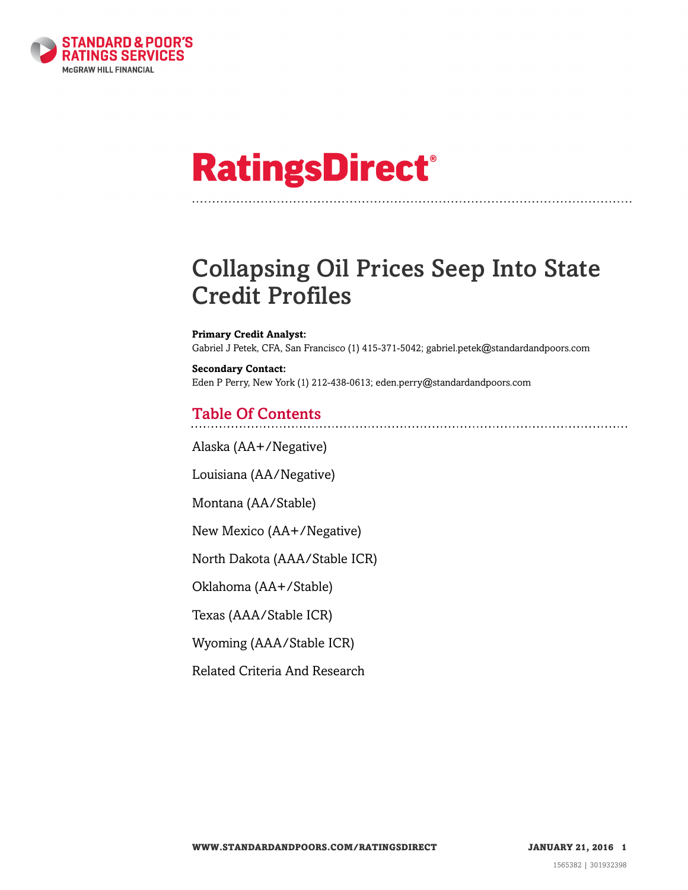

# **RatingsDirect®**

# Collapsing Oil Prices Seep Into State Credit Profiles

**Primary Credit Analyst:** Gabriel J Petek, CFA, San Francisco (1) 415-371-5042; gabriel.petek@standardandpoors.com

**Secondary Contact:** Eden P Perry, New York (1) 212-438-0613; eden.perry@standardandpoors.com

## Table Of Contents

[Alaska \(AA+/Negative\)](#page-2-0)

[Louisiana \(AA/Negative\)](#page-2-1)

[Montana \(AA/Stable\)](#page-3-0)

[New Mexico \(AA+/Negative\)](#page-3-1)

[North Dakota \(AAA/Stable ICR\)](#page-4-0)

[Oklahoma \(AA+/Stable\)](#page-5-0)

[Texas \(AAA/Stable ICR\)](#page-5-1)

[Wyoming \(AAA/Stable ICR\)](#page-6-0)

[Related Criteria And Research](#page-7-0)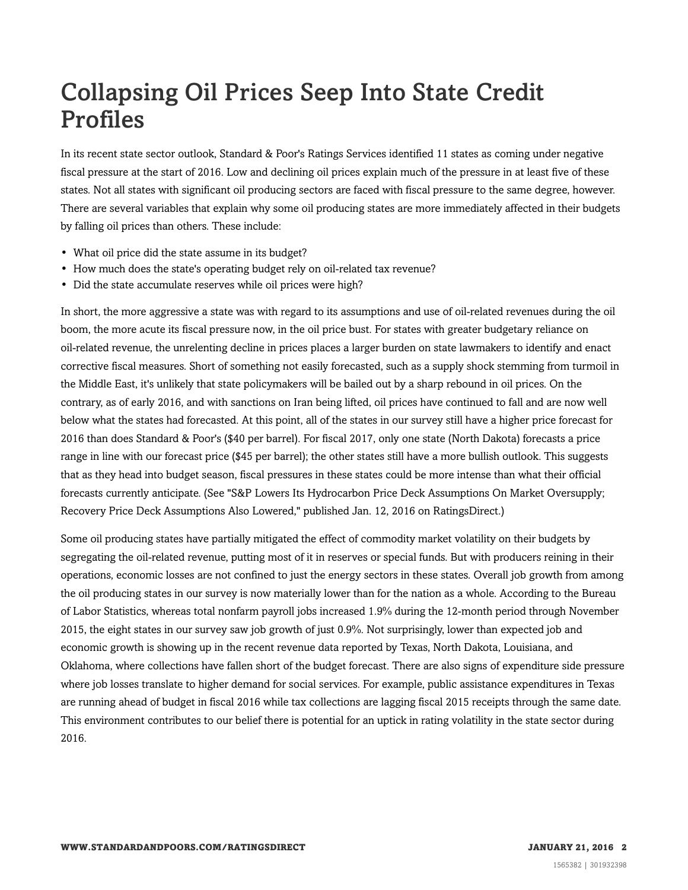# Collapsing Oil Prices Seep Into State Credit Profiles

In its recent state sector outlook, Standard & Poor's Ratings Services identified 11 states as coming under negative fiscal pressure at the start of 2016. Low and declining oil prices explain much of the pressure in at least five of these states. Not all states with significant oil producing sectors are faced with fiscal pressure to the same degree, however. There are several variables that explain why some oil producing states are more immediately affected in their budgets by falling oil prices than others. These include:

- What oil price did the state assume in its budget?
- How much does the state's operating budget rely on oil-related tax revenue?
- Did the state accumulate reserves while oil prices were high?

In short, the more aggressive a state was with regard to its assumptions and use of oil-related revenues during the oil boom, the more acute its fiscal pressure now, in the oil price bust. For states with greater budgetary reliance on oil-related revenue, the unrelenting decline in prices places a larger burden on state lawmakers to identify and enact corrective fiscal measures. Short of something not easily forecasted, such as a supply shock stemming from turmoil in the Middle East, it's unlikely that state policymakers will be bailed out by a sharp rebound in oil prices. On the contrary, as of early 2016, and with sanctions on Iran being lifted, oil prices have continued to fall and are now well below what the states had forecasted. At this point, all of the states in our survey still have a higher price forecast for 2016 than does Standard & Poor's (\$40 per barrel). For fiscal 2017, only one state (North Dakota) forecasts a price range in line with our forecast price (\$45 per barrel); the other states still have a more bullish outlook. This suggests that as they head into budget season, fiscal pressures in these states could be more intense than what their official forecasts currently anticipate. (See "S&P Lowers Its Hydrocarbon Price Deck Assumptions On Market Oversupply; Recovery Price Deck Assumptions Also Lowered," published Jan. 12, 2016 on RatingsDirect.)

Some oil producing states have partially mitigated the effect of commodity market volatility on their budgets by segregating the oil-related revenue, putting most of it in reserves or special funds. But with producers reining in their operations, economic losses are not confined to just the energy sectors in these states. Overall job growth from among the oil producing states in our survey is now materially lower than for the nation as a whole. According to the Bureau of Labor Statistics, whereas total nonfarm payroll jobs increased 1.9% during the 12-month period through November 2015, the eight states in our survey saw job growth of just 0.9%. Not surprisingly, lower than expected job and economic growth is showing up in the recent revenue data reported by Texas, North Dakota, Louisiana, and Oklahoma, where collections have fallen short of the budget forecast. There are also signs of expenditure side pressure where job losses translate to higher demand for social services. For example, public assistance expenditures in Texas are running ahead of budget in fiscal 2016 while tax collections are lagging fiscal 2015 receipts through the same date. This environment contributes to our belief there is potential for an uptick in rating volatility in the state sector during 2016.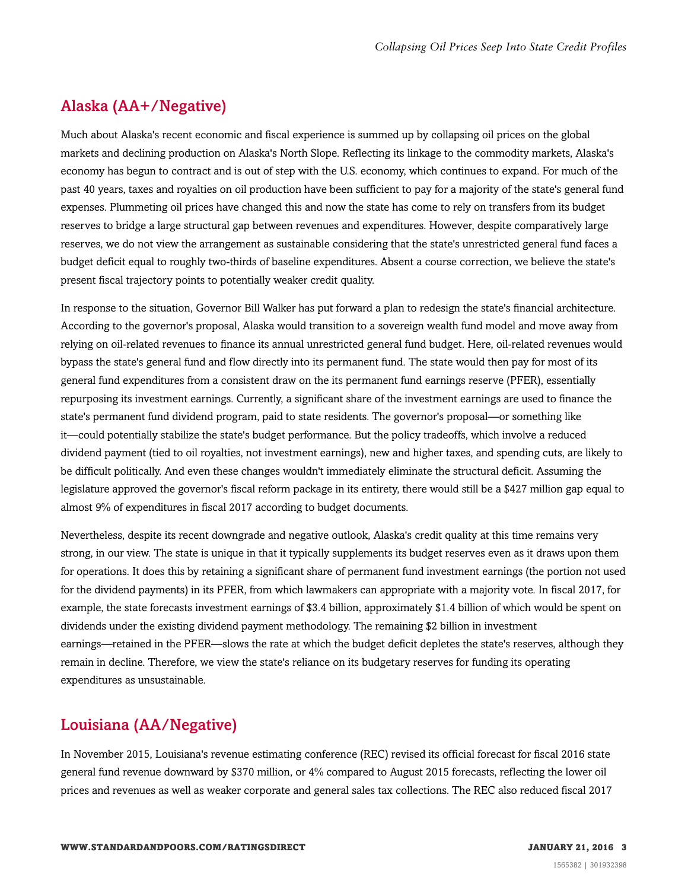#### <span id="page-2-0"></span>Alaska (AA+/Negative)

Much about Alaska's recent economic and fiscal experience is summed up by collapsing oil prices on the global markets and declining production on Alaska's North Slope. Reflecting its linkage to the commodity markets, Alaska's economy has begun to contract and is out of step with the U.S. economy, which continues to expand. For much of the past 40 years, taxes and royalties on oil production have been sufficient to pay for a majority of the state's general fund expenses. Plummeting oil prices have changed this and now the state has come to rely on transfers from its budget reserves to bridge a large structural gap between revenues and expenditures. However, despite comparatively large reserves, we do not view the arrangement as sustainable considering that the state's unrestricted general fund faces a budget deficit equal to roughly two-thirds of baseline expenditures. Absent a course correction, we believe the state's present fiscal trajectory points to potentially weaker credit quality.

In response to the situation, Governor Bill Walker has put forward a plan to redesign the state's financial architecture. According to the governor's proposal, Alaska would transition to a sovereign wealth fund model and move away from relying on oil-related revenues to finance its annual unrestricted general fund budget. Here, oil-related revenues would bypass the state's general fund and flow directly into its permanent fund. The state would then pay for most of its general fund expenditures from a consistent draw on the its permanent fund earnings reserve (PFER), essentially repurposing its investment earnings. Currently, a significant share of the investment earnings are used to finance the state's permanent fund dividend program, paid to state residents. The governor's proposal—or something like it—could potentially stabilize the state's budget performance. But the policy tradeoffs, which involve a reduced dividend payment (tied to oil royalties, not investment earnings), new and higher taxes, and spending cuts, are likely to be difficult politically. And even these changes wouldn't immediately eliminate the structural deficit. Assuming the legislature approved the governor's fiscal reform package in its entirety, there would still be a \$427 million gap equal to almost 9% of expenditures in fiscal 2017 according to budget documents.

Nevertheless, despite its recent downgrade and negative outlook, Alaska's credit quality at this time remains very strong, in our view. The state is unique in that it typically supplements its budget reserves even as it draws upon them for operations. It does this by retaining a significant share of permanent fund investment earnings (the portion not used for the dividend payments) in its PFER, from which lawmakers can appropriate with a majority vote. In fiscal 2017, for example, the state forecasts investment earnings of \$3.4 billion, approximately \$1.4 billion of which would be spent on dividends under the existing dividend payment methodology. The remaining \$2 billion in investment earnings—retained in the PFER—slows the rate at which the budget deficit depletes the state's reserves, although they remain in decline. Therefore, we view the state's reliance on its budgetary reserves for funding its operating expenditures as unsustainable.

### <span id="page-2-1"></span>Louisiana (AA/Negative)

In November 2015, Louisiana's revenue estimating conference (REC) revised its official forecast for fiscal 2016 state general fund revenue downward by \$370 million, or 4% compared to August 2015 forecasts, reflecting the lower oil prices and revenues as well as weaker corporate and general sales tax collections. The REC also reduced fiscal 2017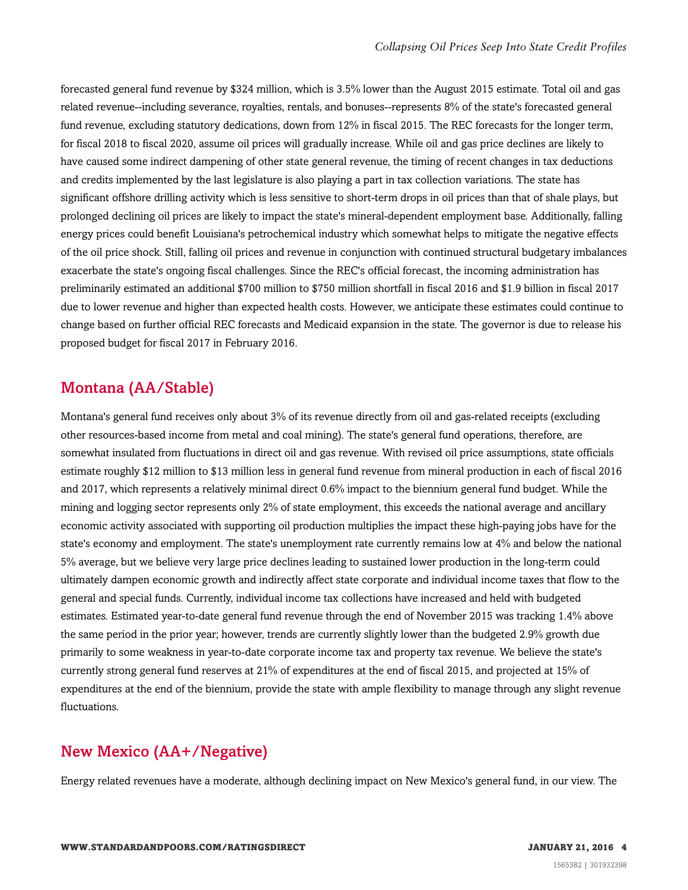forecasted general fund revenue by \$324 million, which is 3.5% lower than the August 2015 estimate. Total oil and gas related revenue--including severance, royalties, rentals, and bonuses--represents 8% of the state's forecasted general fund revenue, excluding statutory dedications, down from 12% in fiscal 2015. The REC forecasts for the longer term, for fiscal 2018 to fiscal 2020, assume oil prices will gradually increase. While oil and gas price declines are likely to have caused some indirect dampening of other state general revenue, the timing of recent changes in tax deductions and credits implemented by the last legislature is also playing a part in tax collection variations. The state has significant offshore drilling activity which is less sensitive to short-term drops in oil prices than that of shale plays, but prolonged declining oil prices are likely to impact the state's mineral-dependent employment base. Additionally, falling energy prices could benefit Louisiana's petrochemical industry which somewhat helps to mitigate the negative effects of the oil price shock. Still, falling oil prices and revenue in conjunction with continued structural budgetary imbalances exacerbate the state's ongoing fiscal challenges. Since the REC's official forecast, the incoming administration has preliminarily estimated an additional \$700 million to \$750 million shortfall in fiscal 2016 and \$1.9 billion in fiscal 2017 due to lower revenue and higher than expected health costs. However, we anticipate these estimates could continue to change based on further official REC forecasts and Medicaid expansion in the state. The governor is due to release his proposed budget for fiscal 2017 in February 2016.

#### <span id="page-3-0"></span>Montana (AA/Stable)

Montana's general fund receives only about 3% of its revenue directly from oil and gas-related receipts (excluding other resources-based income from metal and coal mining). The state's general fund operations, therefore, are somewhat insulated from fluctuations in direct oil and gas revenue. With revised oil price assumptions, state officials estimate roughly \$12 million to \$13 million less in general fund revenue from mineral production in each of fiscal 2016 and 2017, which represents a relatively minimal direct 0.6% impact to the biennium general fund budget. While the mining and logging sector represents only 2% of state employment, this exceeds the national average and ancillary economic activity associated with supporting oil production multiplies the impact these high-paying jobs have for the state's economy and employment. The state's unemployment rate currently remains low at 4% and below the national 5% average, but we believe very large price declines leading to sustained lower production in the long-term could ultimately dampen economic growth and indirectly affect state corporate and individual income taxes that flow to the general and special funds. Currently, individual income tax collections have increased and held with budgeted estimates. Estimated year-to-date general fund revenue through the end of November 2015 was tracking 1.4% above the same period in the prior year; however, trends are currently slightly lower than the budgeted 2.9% growth due primarily to some weakness in year-to-date corporate income tax and property tax revenue. We believe the state's currently strong general fund reserves at 21% of expenditures at the end of fiscal 2015, and projected at 15% of expenditures at the end of the biennium, provide the state with ample flexibility to manage through any slight revenue fluctuations.

#### <span id="page-3-1"></span>New Mexico (AA+/Negative)

Energy related revenues have a moderate, although declining impact on New Mexico's general fund, in our view. The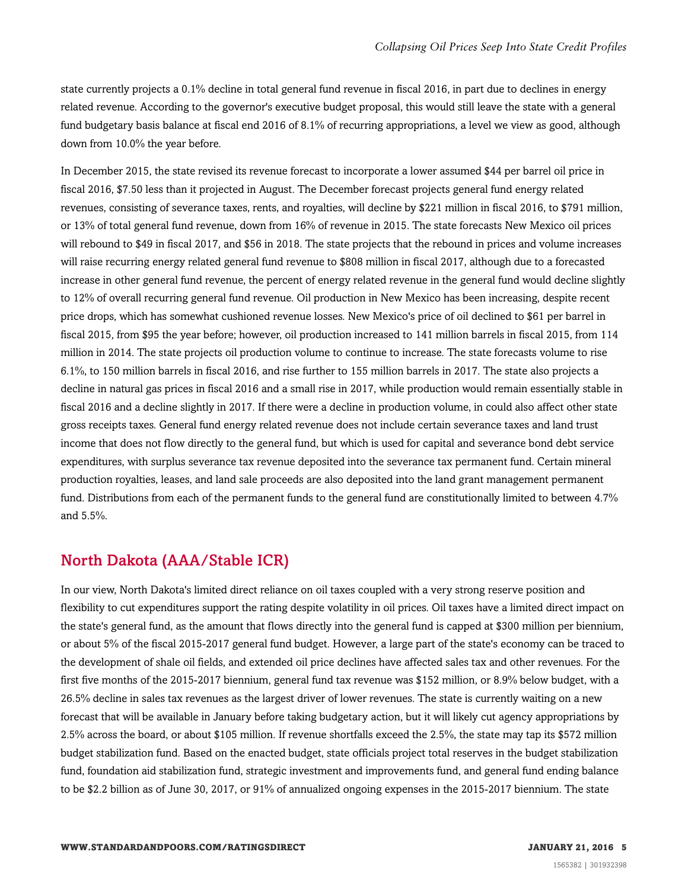state currently projects a 0.1% decline in total general fund revenue in fiscal 2016, in part due to declines in energy related revenue. According to the governor's executive budget proposal, this would still leave the state with a general fund budgetary basis balance at fiscal end 2016 of 8.1% of recurring appropriations, a level we view as good, although down from 10.0% the year before.

In December 2015, the state revised its revenue forecast to incorporate a lower assumed \$44 per barrel oil price in fiscal 2016, \$7.50 less than it projected in August. The December forecast projects general fund energy related revenues, consisting of severance taxes, rents, and royalties, will decline by \$221 million in fiscal 2016, to \$791 million, or 13% of total general fund revenue, down from 16% of revenue in 2015. The state forecasts New Mexico oil prices will rebound to \$49 in fiscal 2017, and \$56 in 2018. The state projects that the rebound in prices and volume increases will raise recurring energy related general fund revenue to \$808 million in fiscal 2017, although due to a forecasted increase in other general fund revenue, the percent of energy related revenue in the general fund would decline slightly to 12% of overall recurring general fund revenue. Oil production in New Mexico has been increasing, despite recent price drops, which has somewhat cushioned revenue losses. New Mexico's price of oil declined to \$61 per barrel in fiscal 2015, from \$95 the year before; however, oil production increased to 141 million barrels in fiscal 2015, from 114 million in 2014. The state projects oil production volume to continue to increase. The state forecasts volume to rise 6.1%, to 150 million barrels in fiscal 2016, and rise further to 155 million barrels in 2017. The state also projects a decline in natural gas prices in fiscal 2016 and a small rise in 2017, while production would remain essentially stable in fiscal 2016 and a decline slightly in 2017. If there were a decline in production volume, in could also affect other state gross receipts taxes. General fund energy related revenue does not include certain severance taxes and land trust income that does not flow directly to the general fund, but which is used for capital and severance bond debt service expenditures, with surplus severance tax revenue deposited into the severance tax permanent fund. Certain mineral production royalties, leases, and land sale proceeds are also deposited into the land grant management permanent fund. Distributions from each of the permanent funds to the general fund are constitutionally limited to between 4.7% and 5.5%.

#### <span id="page-4-0"></span>North Dakota (AAA/Stable ICR)

In our view, North Dakota's limited direct reliance on oil taxes coupled with a very strong reserve position and flexibility to cut expenditures support the rating despite volatility in oil prices. Oil taxes have a limited direct impact on the state's general fund, as the amount that flows directly into the general fund is capped at \$300 million per biennium, or about 5% of the fiscal 2015-2017 general fund budget. However, a large part of the state's economy can be traced to the development of shale oil fields, and extended oil price declines have affected sales tax and other revenues. For the first five months of the 2015-2017 biennium, general fund tax revenue was \$152 million, or 8.9% below budget, with a 26.5% decline in sales tax revenues as the largest driver of lower revenues. The state is currently waiting on a new forecast that will be available in January before taking budgetary action, but it will likely cut agency appropriations by 2.5% across the board, or about \$105 million. If revenue shortfalls exceed the 2.5%, the state may tap its \$572 million budget stabilization fund. Based on the enacted budget, state officials project total reserves in the budget stabilization fund, foundation aid stabilization fund, strategic investment and improvements fund, and general fund ending balance to be \$2.2 billion as of June 30, 2017, or 91% of annualized ongoing expenses in the 2015-2017 biennium. The state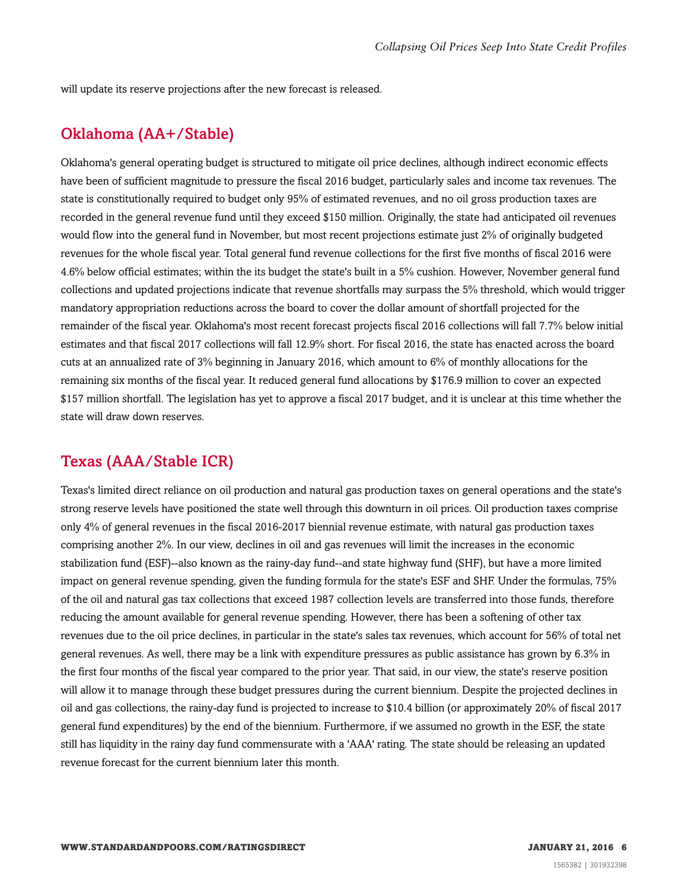<span id="page-5-0"></span>will update its reserve projections after the new forecast is released.

#### Oklahoma (AA+/Stable)

Oklahoma's general operating budget is structured to mitigate oil price declines, although indirect economic effects have been of sufficient magnitude to pressure the fiscal 2016 budget, particularly sales and income tax revenues. The state is constitutionally required to budget only 95% of estimated revenues, and no oil gross production taxes are recorded in the general revenue fund until they exceed \$150 million. Originally, the state had anticipated oil revenues would flow into the general fund in November, but most recent projections estimate just 2% of originally budgeted revenues for the whole fiscal year. Total general fund revenue collections for the first five months of fiscal 2016 were 4.6% below official estimates; within the its budget the state's built in a 5% cushion. However, November general fund collections and updated projections indicate that revenue shortfalls may surpass the 5% threshold, which would trigger mandatory appropriation reductions across the board to cover the dollar amount of shortfall projected for the remainder of the fiscal year. Oklahoma's most recent forecast projects fiscal 2016 collections will fall 7.7% below initial estimates and that fiscal 2017 collections will fall 12.9% short. For fiscal 2016, the state has enacted across the board cuts at an annualized rate of 3% beginning in January 2016, which amount to 6% of monthly allocations for the remaining six months of the fiscal year. It reduced general fund allocations by \$176.9 million to cover an expected \$157 million shortfall. The legislation has yet to approve a fiscal 2017 budget, and it is unclear at this time whether the state will draw down reserves.

#### <span id="page-5-1"></span>Texas (AAA/Stable ICR)

Texas's limited direct reliance on oil production and natural gas production taxes on general operations and the state's strong reserve levels have positioned the state well through this downturn in oil prices. Oil production taxes comprise only 4% of general revenues in the fiscal 2016-2017 biennial revenue estimate, with natural gas production taxes comprising another 2%. In our view, declines in oil and gas revenues will limit the increases in the economic stabilization fund (ESF)--also known as the rainy-day fund--and state highway fund (SHF), but have a more limited impact on general revenue spending, given the funding formula for the state's ESF and SHF. Under the formulas, 75% of the oil and natural gas tax collections that exceed 1987 collection levels are transferred into those funds, therefore reducing the amount available for general revenue spending. However, there has been a softening of other tax revenues due to the oil price declines, in particular in the state's sales tax revenues, which account for 56% of total net general revenues. As well, there may be a link with expenditure pressures as public assistance has grown by 6.3% in the first four months of the fiscal year compared to the prior year. That said, in our view, the state's reserve position will allow it to manage through these budget pressures during the current biennium. Despite the projected declines in oil and gas collections, the rainy-day fund is projected to increase to \$10.4 billion (or approximately 20% of fiscal 2017 general fund expenditures) by the end of the biennium. Furthermore, if we assumed no growth in the ESF, the state still has liquidity in the rainy day fund commensurate with a 'AAA' rating. The state should be releasing an updated revenue forecast for the current biennium later this month.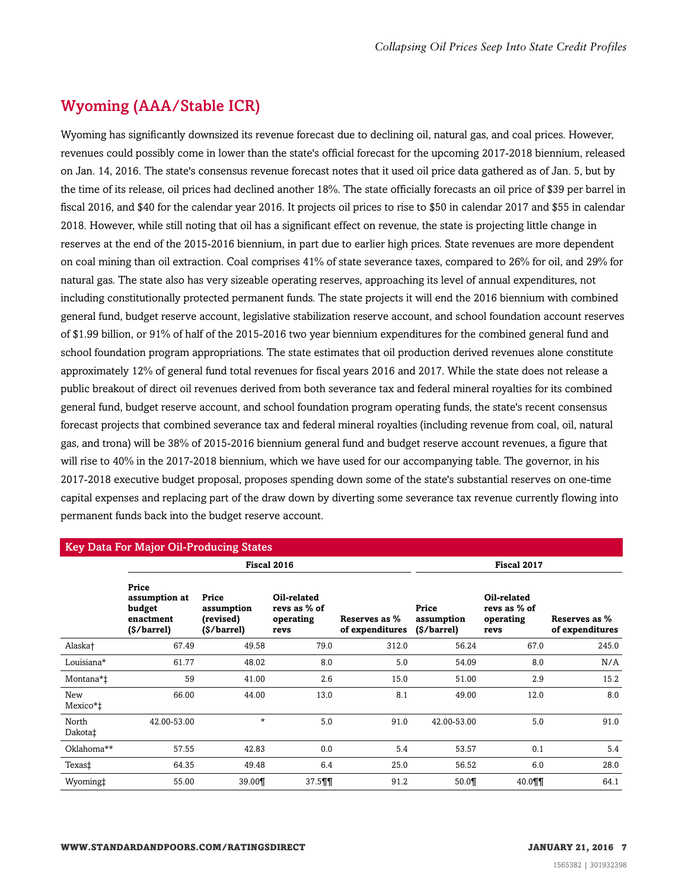## <span id="page-6-0"></span>Wyoming (AAA/Stable ICR)

Wyoming has significantly downsized its revenue forecast due to declining oil, natural gas, and coal prices. However, revenues could possibly come in lower than the state's official forecast for the upcoming 2017-2018 biennium, released on Jan. 14, 2016. The state's consensus revenue forecast notes that it used oil price data gathered as of Jan. 5, but by the time of its release, oil prices had declined another 18%. The state officially forecasts an oil price of \$39 per barrel in fiscal 2016, and \$40 for the calendar year 2016. It projects oil prices to rise to \$50 in calendar 2017 and \$55 in calendar 2018. However, while still noting that oil has a significant effect on revenue, the state is projecting little change in reserves at the end of the 2015-2016 biennium, in part due to earlier high prices. State revenues are more dependent on coal mining than oil extraction. Coal comprises 41% of state severance taxes, compared to 26% for oil, and 29% for natural gas. The state also has very sizeable operating reserves, approaching its level of annual expenditures, not including constitutionally protected permanent funds. The state projects it will end the 2016 biennium with combined general fund, budget reserve account, legislative stabilization reserve account, and school foundation account reserves of \$1.99 billion, or 91% of half of the 2015-2016 two year biennium expenditures for the combined general fund and school foundation program appropriations. The state estimates that oil production derived revenues alone constitute approximately 12% of general fund total revenues for fiscal years 2016 and 2017. While the state does not release a public breakout of direct oil revenues derived from both severance tax and federal mineral royalties for its combined general fund, budget reserve account, and school foundation program operating funds, the state's recent consensus forecast projects that combined severance tax and federal mineral royalties (including revenue from coal, oil, natural gas, and trona) will be 38% of 2015-2016 biennium general fund and budget reserve account revenues, a figure that will rise to 40% in the 2017-2018 biennium, which we have used for our accompanying table. The governor, in his 2017-2018 executive budget proposal, proposes spending down some of the state's substantial reserves on one-time capital expenses and replacing part of the draw down by diverting some severance tax revenue currently flowing into permanent funds back into the budget reserve account.

| <b>Key Data For Major Oil-Producing States</b> |                                                              |                                                 |                                                  |                                  |                                    |                                                  |                                  |
|------------------------------------------------|--------------------------------------------------------------|-------------------------------------------------|--------------------------------------------------|----------------------------------|------------------------------------|--------------------------------------------------|----------------------------------|
|                                                | Fiscal 2016                                                  |                                                 |                                                  |                                  | Fiscal 2017                        |                                                  |                                  |
|                                                | Price<br>assumption at<br>budget<br>enactment<br>(\$/barrel) | Price<br>assumption<br>(revised)<br>(\$/barrel) | Oil-related<br>revs as % of<br>operating<br>revs | Reserves as %<br>of expenditures | Price<br>assumption<br>(\$/barrel) | Oil-related<br>revs as % of<br>operating<br>revs | Reserves as %<br>of expenditures |
| Alaska†                                        | 67.49                                                        | 49.58                                           | 79.0                                             | 312.0                            | 56.24                              | 67.0                                             | 245.0                            |
| Louisiana*                                     | 61.77                                                        | 48.02                                           | 8.0                                              | 5.0                              | 54.09                              | 8.0                                              | N/A                              |
| Montana*‡                                      | 59                                                           | 41.00                                           | 2.6                                              | 15.0                             | 51.00                              | 2.9                                              | 15.2                             |
| New<br>Mexico*‡                                | 66.00                                                        | 44.00                                           | 13.0                                             | 8.1                              | 49.00                              | 12.0                                             | 8.0                              |
| North<br>Dakota‡                               | 42.00-53.00                                                  | $\star$                                         | 5.0                                              | 91.0                             | 42.00-53.00                        | 5.0                                              | 91.0                             |
| Oklahoma**                                     | 57.55                                                        | 42.83                                           | 0.0                                              | 5.4                              | 53.57                              | 0.1                                              | 5.4                              |
| Texas‡                                         | 64.35                                                        | 49.48                                           | 6.4                                              | 25.0                             | 56.52                              | 6.0                                              | 28.0                             |
| Wyoming‡                                       | 55.00                                                        | 39.00¶                                          | 37.5                                             | 91.2                             | 50.0                               | 40.0¶¶                                           | 64.1                             |

#### **WWW.STANDARDANDPOORS.COM/RATINGSDIRECT JANUARY 21, 2016 7**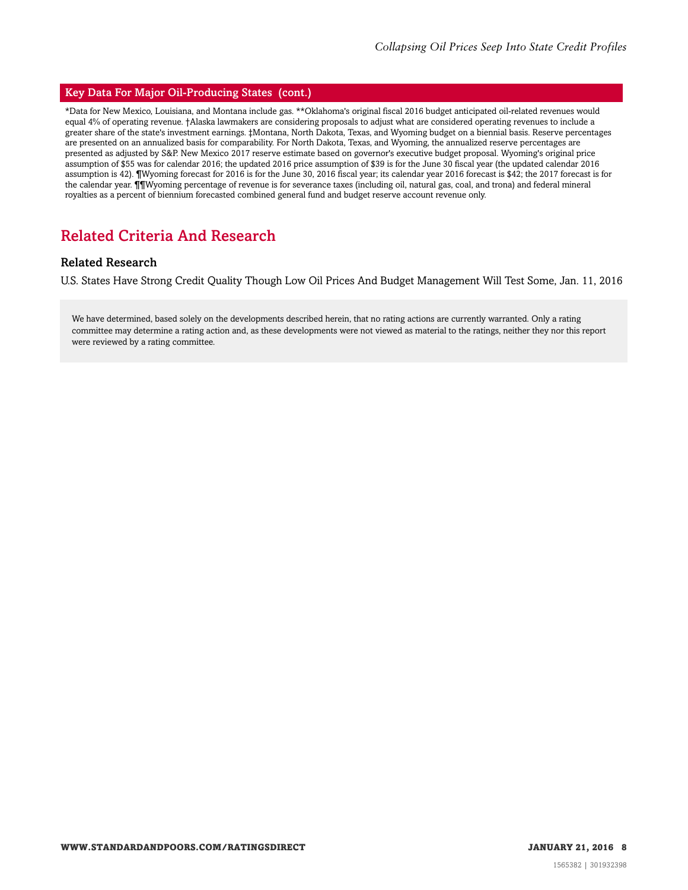#### Key Data For Major Oil-Producing States (cont.)

\*Data for New Mexico, Louisiana, and Montana include gas. \*\*Oklahoma's original fiscal 2016 budget anticipated oil-related revenues would equal 4% of operating revenue. †Alaska lawmakers are considering proposals to adjust what are considered operating revenues to include a greater share of the state's investment earnings. ‡Montana, North Dakota, Texas, and Wyoming budget on a biennial basis. Reserve percentages are presented on an annualized basis for comparability. For North Dakota, Texas, and Wyoming, the annualized reserve percentages are presented as adjusted by S&P. New Mexico 2017 reserve estimate based on governor's executive budget proposal. Wyoming's original price assumption of \$55 was for calendar 2016; the updated 2016 price assumption of \$39 is for the June 30 fiscal year (the updated calendar 2016 assumption is 42). ¶Wyoming forecast for 2016 is for the June 30, 2016 fiscal year; its calendar year 2016 forecast is \$42; the 2017 forecast is for the calendar year. ¶¶Wyoming percentage of revenue is for severance taxes (including oil, natural gas, coal, and trona) and federal mineral royalties as a percent of biennium forecasted combined general fund and budget reserve account revenue only.

#### <span id="page-7-0"></span>Related Criteria And Research

#### Related Research

U.S. States Have Strong Credit Quality Though Low Oil Prices And Budget Management Will Test Some, Jan. 11, 2016

We have determined, based solely on the developments described herein, that no rating actions are currently warranted. Only a rating committee may determine a rating action and, as these developments were not viewed as material to the ratings, neither they nor this report were reviewed by a rating committee.